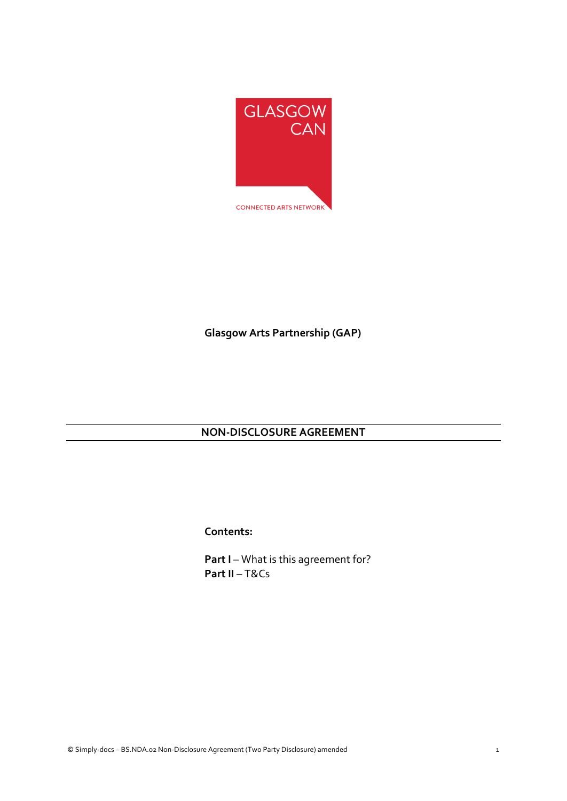

# **Glasgow Arts Partnership (GAP)**

# **NON-DISCLOSURE AGREEMENT**

**Contents:**

**Part I** – What is this agreement for? **Part II** – T&Cs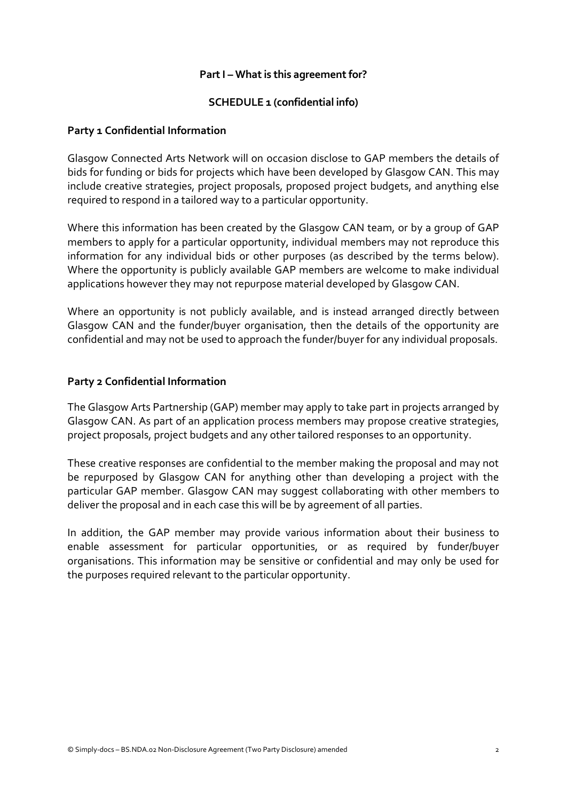## **Part I – What is this agreement for?**

## **SCHEDULE 1 (confidential info)**

### **Party 1 Confidential Information**

Glasgow Connected Arts Network will on occasion disclose to GAP members the details of bids for funding or bids for projects which have been developed by Glasgow CAN. This may include creative strategies, project proposals, proposed project budgets, and anything else required to respond in a tailored way to a particular opportunity.

Where this information has been created by the Glasgow CAN team, or by a group of GAP members to apply for a particular opportunity, individual members may not reproduce this information for any individual bids or other purposes (as described by the terms below). Where the opportunity is publicly available GAP members are welcome to make individual applications however they may not repurpose material developed by Glasgow CAN.

Where an opportunity is not publicly available, and is instead arranged directly between Glasgow CAN and the funder/buyer organisation, then the details of the opportunity are confidential and may not be used to approach the funder/buyer for any individual proposals.

## **Party 2 Confidential Information**

The Glasgow Arts Partnership (GAP) member may apply to take part in projects arranged by Glasgow CAN. As part of an application process members may propose creative strategies, project proposals, project budgets and any other tailored responses to an opportunity.

These creative responses are confidential to the member making the proposal and may not be repurposed by Glasgow CAN for anything other than developing a project with the particular GAP member. Glasgow CAN may suggest collaborating with other members to deliver the proposal and in each case this will be by agreement of all parties.

In addition, the GAP member may provide various information about their business to enable assessment for particular opportunities, or as required by funder/buyer organisations. This information may be sensitive or confidential and may only be used for the purposes required relevant to the particular opportunity.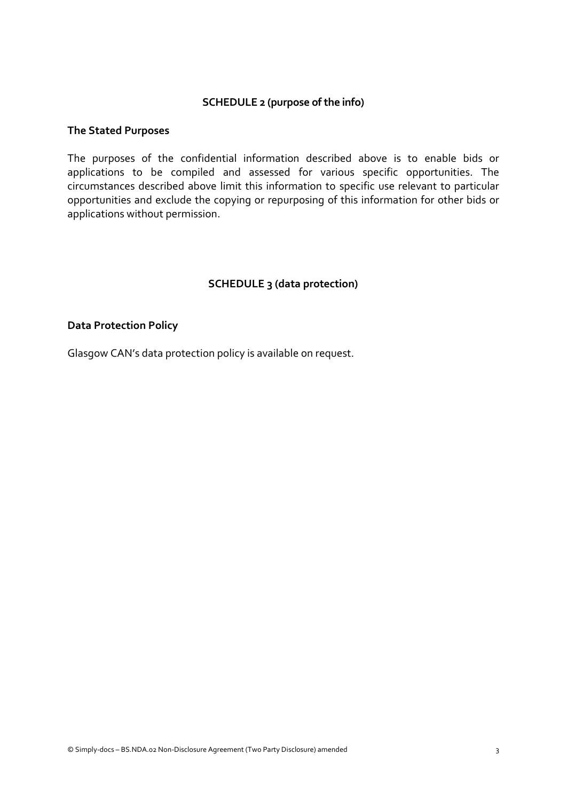## **SCHEDULE 2 (purpose of the info)**

#### **The Stated Purposes**

The purposes of the confidential information described above is to enable bids or applications to be compiled and assessed for various specific opportunities. The circumstances described above limit this information to specific use relevant to particular opportunities and exclude the copying or repurposing of this information for other bids or applications without permission.

## **SCHEDULE 3 (data protection)**

#### **Data Protection Policy**

Glasgow CAN's data protection policy is available on request.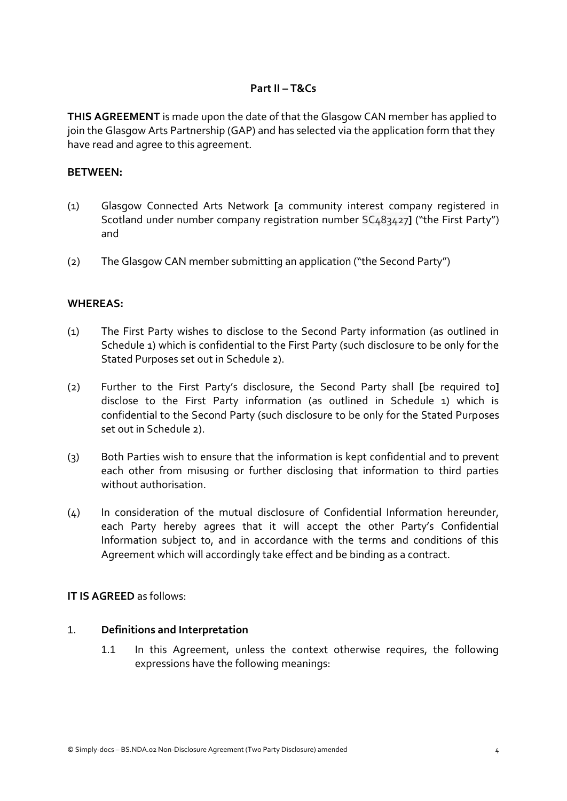## **Part II – T&Cs**

**THIS AGREEMENT** is made upon the date of that the Glasgow CAN member has applied to join the Glasgow Arts Partnership (GAP) and has selected via the application form that they have read and agree to this agreement.

### **BETWEEN:**

- (1) Glasgow Connected Arts Network **[**a community interest company registered in Scotland under number company registration number SC483427**]** ("the First Party") and
- (2) The Glasgow CAN member submitting an application ("the Second Party")

### **WHEREAS:**

- (1) The First Party wishes to disclose to the Second Party information (as outlined in Schedule 1) which is confidential to the First Party (such disclosure to be only for the Stated Purposes set out in Schedule 2).
- (2) Further to the First Party's disclosure, the Second Party shall **[**be required to**]** disclose to the First Party information (as outlined in Schedule 1) which is confidential to the Second Party (such disclosure to be only for the Stated Purposes set out in Schedule 2).
- (3) Both Parties wish to ensure that the information is kept confidential and to prevent each other from misusing or further disclosing that information to third parties without authorisation.
- (4) In consideration of the mutual disclosure of Confidential Information hereunder, each Party hereby agrees that it will accept the other Party's Confidential Information subject to, and in accordance with the terms and conditions of this Agreement which will accordingly take effect and be binding as a contract.

### **IT IS AGREED** as follows:

## 1. **Definitions and Interpretation**

1.1 In this Agreement, unless the context otherwise requires, the following expressions have the following meanings: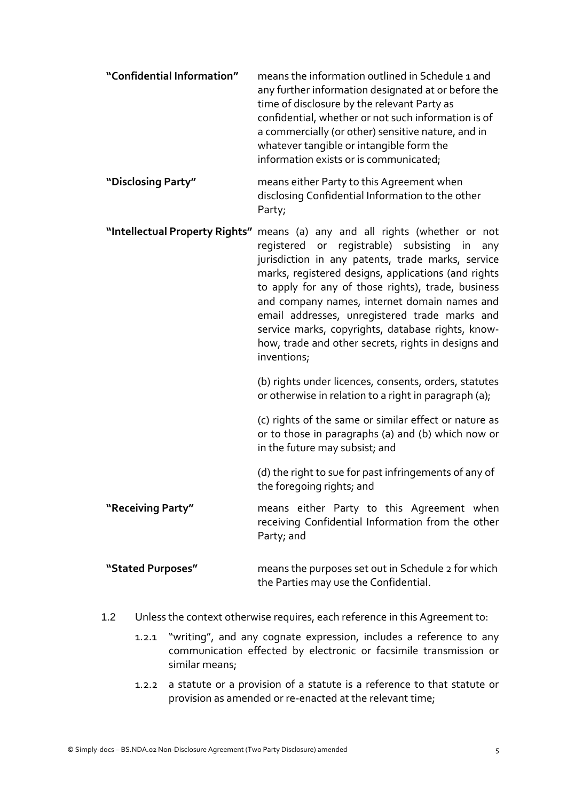- **"Confidential Information"** means the information outlined in Schedule 1 and any further information designated at or before the time of disclosure by the relevant Party as confidential, whether or not such information is of a commercially (or other) sensitive nature, and in whatever tangible or intangible form the information exists or is communicated;
- **"Disclosing Party"** means either Party to this Agreement when disclosing Confidential Information to the other Party;
- **"Intellectual Property Rights"** means (a) any and all rights (whether or not registered or registrable) subsisting in any jurisdiction in any patents, trade marks, service marks, registered designs, applications (and rights to apply for any of those rights), trade, business and company names, internet domain names and email addresses, unregistered trade marks and service marks, copyrights, database rights, knowhow, trade and other secrets, rights in designs and inventions;

(b) rights under licences, consents, orders, statutes or otherwise in relation to a right in paragraph (a);

(c) rights of the same or similar effect or nature as or to those in paragraphs (a) and (b) which now or in the future may subsist; and

(d) the right to sue for past infringements of any of the foregoing rights; and

**"Receiving Party"** means either Party to this Agreement when receiving Confidential Information from the other Party; and

## **"Stated Purposes"** means the purposes set out in Schedule 2 for which the Parties may use the Confidential.

- 1.2 Unless the context otherwise requires, each reference in this Agreement to:
	- 1.2.1 "writing", and any cognate expression, includes a reference to any communication effected by electronic or facsimile transmission or similar means;
	- 1.2.2 a statute or a provision of a statute is a reference to that statute or provision as amended or re-enacted at the relevant time;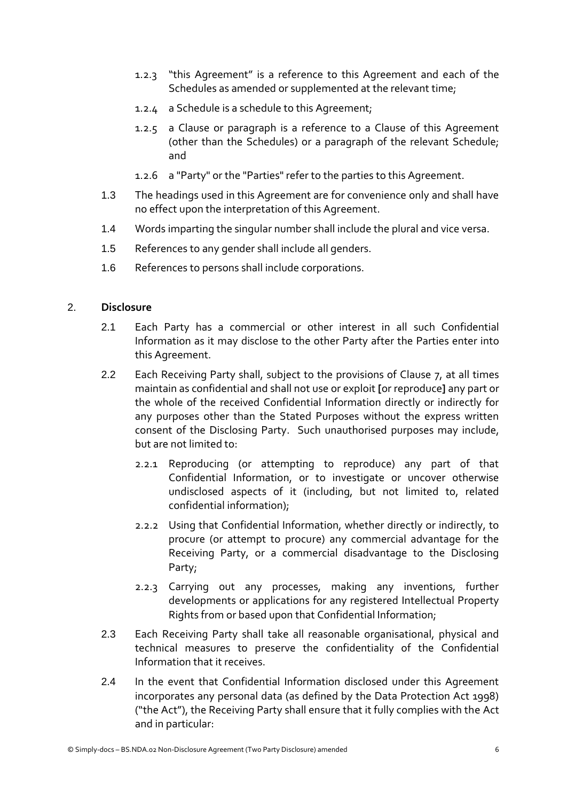- 1.2.3 "this Agreement" is a reference to this Agreement and each of the Schedules as amended or supplemented at the relevant time;
- 1.2.4 a Schedule is a schedule to this Agreement;
- 1.2.5 a Clause or paragraph is a reference to a Clause of this Agreement (other than the Schedules) or a paragraph of the relevant Schedule; and
- 1.2.6 a "Party" or the "Parties" refer to the parties to this Agreement.
- 1.3 The headings used in this Agreement are for convenience only and shall have no effect upon the interpretation of this Agreement.
- 1.4 Words imparting the singular number shall include the plural and vice versa.
- 1.5 References to any gender shall include all genders.
- 1.6 References to persons shall include corporations.

## 2. **Disclosure**

- 2.1 Each Party has a commercial or other interest in all such Confidential Information as it may disclose to the other Party after the Parties enter into this Agreement.
- 2.2 Each Receiving Party shall, subject to the provisions of Clause 7, at all times maintain as confidential and shall not use or exploit **[**or reproduce**]** any part or the whole of the received Confidential Information directly or indirectly for any purposes other than the Stated Purposes without the express written consent of the Disclosing Party. Such unauthorised purposes may include, but are not limited to:
	- 2.2.1 Reproducing (or attempting to reproduce) any part of that Confidential Information, or to investigate or uncover otherwise undisclosed aspects of it (including, but not limited to, related confidential information);
	- 2.2.2 Using that Confidential Information, whether directly or indirectly, to procure (or attempt to procure) any commercial advantage for the Receiving Party, or a commercial disadvantage to the Disclosing Party;
	- 2.2.3 Carrying out any processes, making any inventions, further developments or applications for any registered Intellectual Property Rights from or based upon that Confidential Information;
- 2.3 Each Receiving Party shall take all reasonable organisational, physical and technical measures to preserve the confidentiality of the Confidential Information that it receives.
- 2.4 In the event that Confidential Information disclosed under this Agreement incorporates any personal data (as defined by the Data Protection Act 1998) ("the Act"), the Receiving Party shall ensure that it fully complies with the Act and in particular: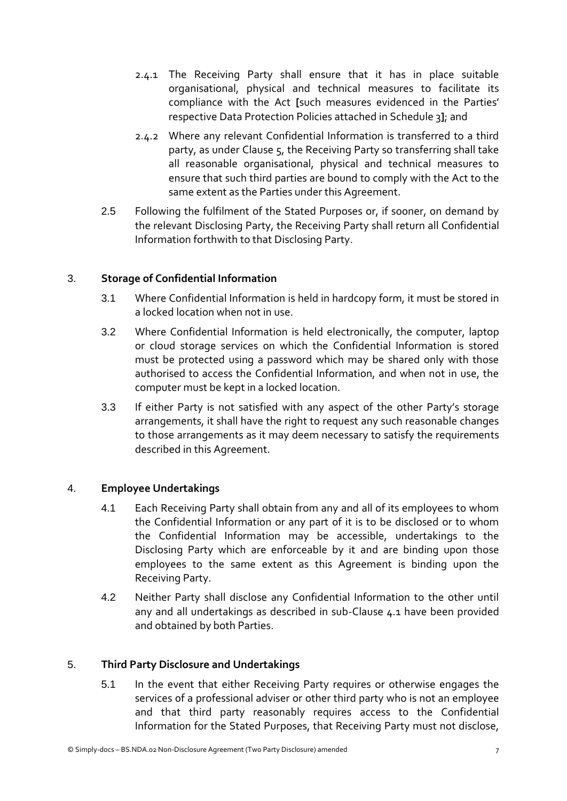- 2.4.1 The Receiving Party shall ensure that it has in place suitable organisational, physical and technical measures to facilitate its compliance with the Act **[**such measures evidenced in the Parties' respective Data Protection Policies attached in Schedule 3**]**; and
- 2.4.2 Where any relevant Confidential Information is transferred to a third party, as under Clause 5, the Receiving Party so transferring shall take all reasonable organisational, physical and technical measures to ensure that such third parties are bound to comply with the Act to the same extent as the Parties under this Agreement.
- 2.5 Following the fulfilment of the Stated Purposes or, if sooner, on demand by the relevant Disclosing Party, the Receiving Party shall return all Confidential Information forthwith to that Disclosing Party.

## 3. **Storage of Confidential Information**

- 3.1 Where Confidential Information is held in hardcopy form, it must be stored in a locked location when not in use.
- 3.2 Where Confidential Information is held electronically, the computer, laptop or cloud storage services on which the Confidential Information is stored must be protected using a password which may be shared only with those authorised to access the Confidential Information, and when not in use, the computer must be kept in a locked location.
- 3.3 If either Party is not satisfied with any aspect of the other Party's storage arrangements, it shall have the right to request any such reasonable changes to those arrangements as it may deem necessary to satisfy the requirements described in this Agreement.

## 4. **Employee Undertakings**

- 4.1 Each Receiving Party shall obtain from any and all of its employees to whom the Confidential Information or any part of it is to be disclosed or to whom the Confidential Information may be accessible, undertakings to the Disclosing Party which are enforceable by it and are binding upon those employees to the same extent as this Agreement is binding upon the Receiving Party.
- 4.2 Neither Party shall disclose any Confidential Information to the other until any and all undertakings as described in sub-Clause 4.1 have been provided and obtained by both Parties.

## 5. **Third Party Disclosure and Undertakings**

5.1 In the event that either Receiving Party requires or otherwise engages the services of a professional adviser or other third party who is not an employee and that third party reasonably requires access to the Confidential Information for the Stated Purposes, that Receiving Party must not disclose,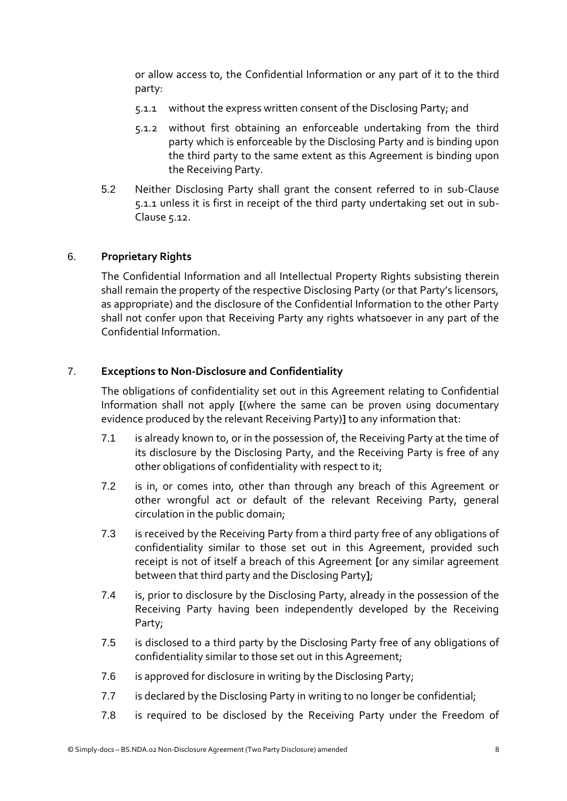or allow access to, the Confidential Information or any part of it to the third party:

- 5.1.1 without the express written consent of the Disclosing Party; and
- 5.1.2 without first obtaining an enforceable undertaking from the third party which is enforceable by the Disclosing Party and is binding upon the third party to the same extent as this Agreement is binding upon the Receiving Party.
- 5.2 Neither Disclosing Party shall grant the consent referred to in sub-Clause 5.1.1 unless it is first in receipt of the third party undertaking set out in sub-Clause 5.12.

## 6. **Proprietary Rights**

The Confidential Information and all Intellectual Property Rights subsisting therein shall remain the property of the respective Disclosing Party (or that Party's licensors, as appropriate) and the disclosure of the Confidential Information to the other Party shall not confer upon that Receiving Party any rights whatsoever in any part of the Confidential Information.

## 7. **Exceptions to Non-Disclosure and Confidentiality**

The obligations of confidentiality set out in this Agreement relating to Confidential Information shall not apply **[**(where the same can be proven using documentary evidence produced by the relevant Receiving Party)**]** to any information that:

- 7.1 is already known to, or in the possession of, the Receiving Party at the time of its disclosure by the Disclosing Party, and the Receiving Party is free of any other obligations of confidentiality with respect to it;
- 7.2 is in, or comes into, other than through any breach of this Agreement or other wrongful act or default of the relevant Receiving Party, general circulation in the public domain;
- 7.3 is received by the Receiving Party from a third party free of any obligations of confidentiality similar to those set out in this Agreement, provided such receipt is not of itself a breach of this Agreement **[**or any similar agreement between that third party and the Disclosing Party**]**;
- 7.4 is, prior to disclosure by the Disclosing Party, already in the possession of the Receiving Party having been independently developed by the Receiving Party;
- 7.5 is disclosed to a third party by the Disclosing Party free of any obligations of confidentiality similar to those set out in this Agreement;
- 7.6 is approved for disclosure in writing by the Disclosing Party;
- 7.7 is declared by the Disclosing Party in writing to no longer be confidential;
- 7.8 is required to be disclosed by the Receiving Party under the Freedom of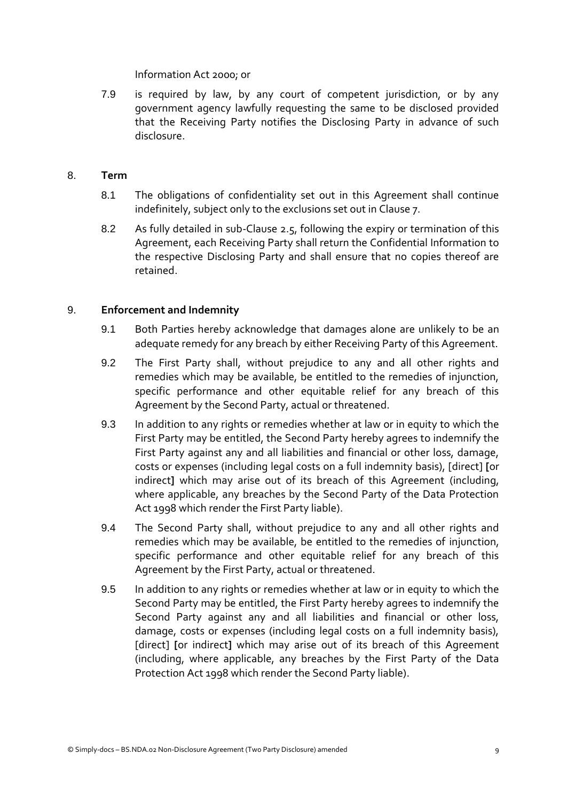Information Act 2000; or

7.9 is required by law, by any court of competent jurisdiction, or by any government agency lawfully requesting the same to be disclosed provided that the Receiving Party notifies the Disclosing Party in advance of such disclosure.

## 8. **Term**

- 8.1 The obligations of confidentiality set out in this Agreement shall continue indefinitely, subject only to the exclusions set out in Clause 7.
- 8.2 As fully detailed in sub-Clause 2.5, following the expiry or termination of this Agreement, each Receiving Party shall return the Confidential Information to the respective Disclosing Party and shall ensure that no copies thereof are retained.

## 9. **Enforcement and Indemnity**

- 9.1 Both Parties hereby acknowledge that damages alone are unlikely to be an adequate remedy for any breach by either Receiving Party of this Agreement.
- 9.2 The First Party shall, without prejudice to any and all other rights and remedies which may be available, be entitled to the remedies of injunction, specific performance and other equitable relief for any breach of this Agreement by the Second Party, actual or threatened.
- 9.3 In addition to any rights or remedies whether at law or in equity to which the First Party may be entitled, the Second Party hereby agrees to indemnify the First Party against any and all liabilities and financial or other loss, damage, costs or expenses (including legal costs on a full indemnity basis), [direct] **[**or indirect**]** which may arise out of its breach of this Agreement (including, where applicable, any breaches by the Second Party of the Data Protection Act 1998 which render the First Party liable).
- 9.4 The Second Party shall, without prejudice to any and all other rights and remedies which may be available, be entitled to the remedies of injunction, specific performance and other equitable relief for any breach of this Agreement by the First Party, actual or threatened.
- 9.5 In addition to any rights or remedies whether at law or in equity to which the Second Party may be entitled, the First Party hereby agrees to indemnify the Second Party against any and all liabilities and financial or other loss, damage, costs or expenses (including legal costs on a full indemnity basis), [direct] **[**or indirect**]** which may arise out of its breach of this Agreement (including, where applicable, any breaches by the First Party of the Data Protection Act 1998 which render the Second Party liable).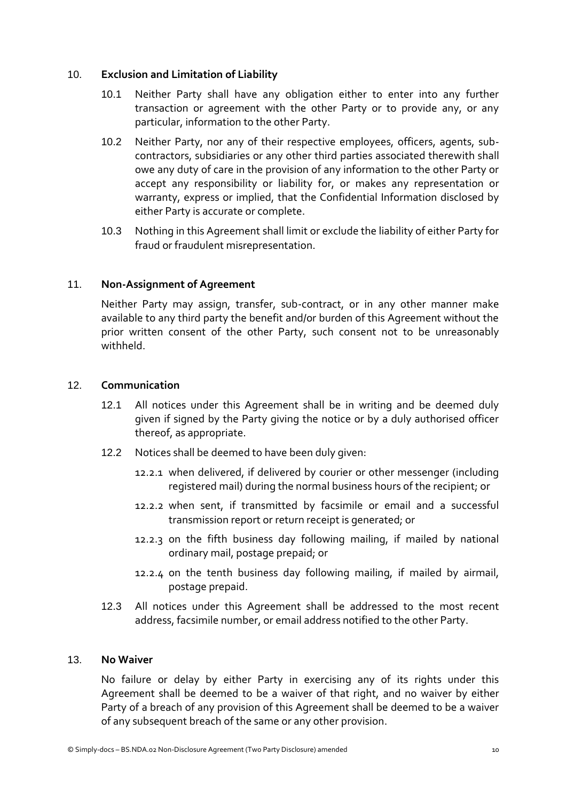## 10. **Exclusion and Limitation of Liability**

- 10.1 Neither Party shall have any obligation either to enter into any further transaction or agreement with the other Party or to provide any, or any particular, information to the other Party.
- 10.2 Neither Party, nor any of their respective employees, officers, agents, subcontractors, subsidiaries or any other third parties associated therewith shall owe any duty of care in the provision of any information to the other Party or accept any responsibility or liability for, or makes any representation or warranty, express or implied, that the Confidential Information disclosed by either Party is accurate or complete.
- 10.3 Nothing in this Agreement shall limit or exclude the liability of either Party for fraud or fraudulent misrepresentation.

## 11. **Non-Assignment of Agreement**

Neither Party may assign, transfer, sub-contract, or in any other manner make available to any third party the benefit and/or burden of this Agreement without the prior written consent of the other Party, such consent not to be unreasonably withheld.

### 12. **Communication**

- 12.1 All notices under this Agreement shall be in writing and be deemed duly given if signed by the Party giving the notice or by a duly authorised officer thereof, as appropriate.
- 12.2 Notices shall be deemed to have been duly given:
	- 12.2.1 when delivered, if delivered by courier or other messenger (including registered mail) during the normal business hours of the recipient; or
	- 12.2.2 when sent, if transmitted by facsimile or email and a successful transmission report or return receipt is generated; or
	- 12.2.3 on the fifth business day following mailing, if mailed by national ordinary mail, postage prepaid; or
	- 12.2.4 on the tenth business day following mailing, if mailed by airmail, postage prepaid.
- 12.3 All notices under this Agreement shall be addressed to the most recent address, facsimile number, or email address notified to the other Party.

### 13. **No Waiver**

No failure or delay by either Party in exercising any of its rights under this Agreement shall be deemed to be a waiver of that right, and no waiver by either Party of a breach of any provision of this Agreement shall be deemed to be a waiver of any subsequent breach of the same or any other provision.